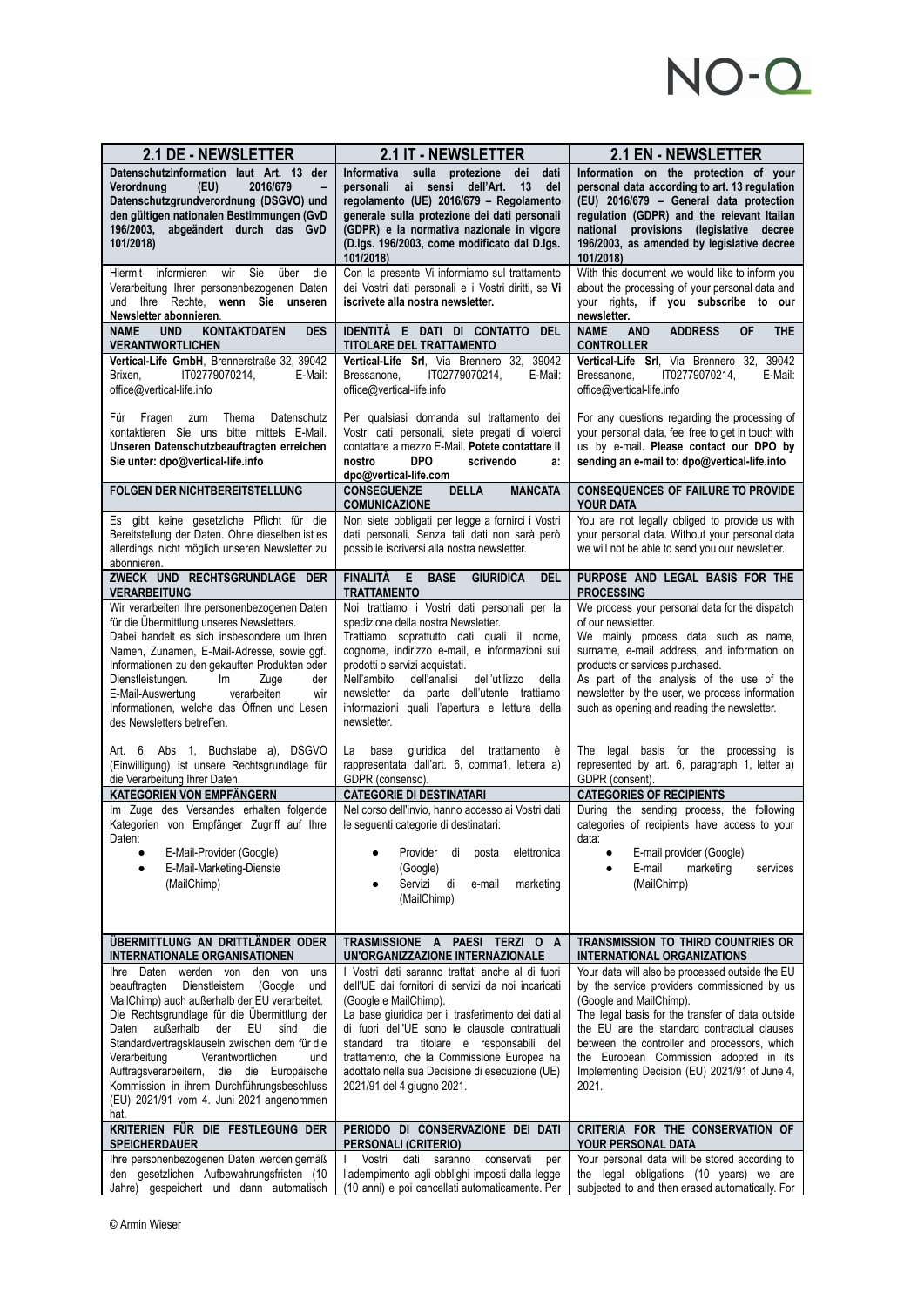## NO-Q

| 2.1 DE - NEWSLETTER                                                                                                                                                                                                                                                                                                                                                                                                                                                                          | 2.1 IT - NEWSLETTER                                                                                                                                                                                                                                                                                                                                                                                                | 2.1 EN - NEWSLETTER                                                                                                                                                                                                                                                                                                                                                              |
|----------------------------------------------------------------------------------------------------------------------------------------------------------------------------------------------------------------------------------------------------------------------------------------------------------------------------------------------------------------------------------------------------------------------------------------------------------------------------------------------|--------------------------------------------------------------------------------------------------------------------------------------------------------------------------------------------------------------------------------------------------------------------------------------------------------------------------------------------------------------------------------------------------------------------|----------------------------------------------------------------------------------------------------------------------------------------------------------------------------------------------------------------------------------------------------------------------------------------------------------------------------------------------------------------------------------|
| Datenschutzinformation laut Art. 13 der<br>2016/679<br>Verordnung<br>(EU)<br>Datenschutzgrundverordnung (DSGVO) und<br>den gültigen nationalen Bestimmungen (GvD<br>196/2003, abgeändert durch das GvD<br>101/2018)                                                                                                                                                                                                                                                                          | Informativa sulla protezione<br>dei<br>dati<br>personali ai sensi dell'Art.<br>13<br>del<br>regolamento (UE) 2016/679 - Regolamento<br>generale sulla protezione dei dati personali<br>(GDPR) e la normativa nazionale in vigore<br>(D.lgs. 196/2003, come modificato dal D.lgs.<br>101/2018)                                                                                                                      | Information on the protection of your<br>personal data according to art. 13 regulation<br>(EU) 2016/679 - General data protection<br>regulation (GDPR) and the relevant Italian<br>provisions (legislative decree<br>national<br>196/2003, as amended by legislative decree<br>101/2018)                                                                                         |
| Sie<br>über<br>Hiermit<br>informieren<br>wir<br>die<br>Verarbeitung Ihrer personenbezogenen Daten<br>und Ihre Rechte, wenn Sie unseren<br>Newsletter abonnieren.                                                                                                                                                                                                                                                                                                                             | Con la presente Vi informiamo sul trattamento<br>dei Vostri dati personali e i Vostri diritti, se Vi<br>iscrivete alla nostra newsletter.                                                                                                                                                                                                                                                                          | With this document we would like to inform you<br>about the processing of your personal data and<br>your rights, if you subscribe to our<br>newsletter.                                                                                                                                                                                                                          |
| <b>KONTAKTDATEN</b><br><b>DES</b><br><b>NAME</b><br><b>UND</b><br><b>VERANTWORTLICHEN</b>                                                                                                                                                                                                                                                                                                                                                                                                    | IDENTITÀ E DATI DI CONTATTO DEL<br><b>TITOLARE DEL TRATTAMENTO</b>                                                                                                                                                                                                                                                                                                                                                 | <b>AND</b><br><b>ADDRESS</b><br><b>OF</b><br><b>THE</b><br><b>NAME</b><br><b>CONTROLLER</b>                                                                                                                                                                                                                                                                                      |
| Vertical-Life GmbH, Brennerstraße 32, 39042<br>IT02779070214,<br>Brixen,<br>E-Mail:<br>office@vertical-life.info                                                                                                                                                                                                                                                                                                                                                                             | Vertical-Life Srl, Via Brennero 32, 39042<br>IT02779070214,<br>E-Mail:<br>Bressanone,<br>office@vertical-life.info                                                                                                                                                                                                                                                                                                 | Vertical-Life Srl, Via Brennero 32, 39042<br>IT02779070214,<br>E-Mail:<br>Bressanone,<br>office@vertical-life.info                                                                                                                                                                                                                                                               |
| Thema<br>Datenschutz<br>Für<br>Fragen zum<br>kontaktieren Sie uns bitte mittels E-Mail.<br>Unseren Datenschutzbeauftragten erreichen<br>Sie unter: dpo@vertical-life.info                                                                                                                                                                                                                                                                                                                    | Per qualsiasi domanda sul trattamento dei<br>Vostri dati personali, siete pregati di volerci<br>contattare a mezzo E-Mail. Potete contattare il<br><b>DPO</b><br>scrivendo<br>nostro<br>a:<br>dpo@vertical-life.com                                                                                                                                                                                                | For any questions regarding the processing of<br>your personal data, feel free to get in touch with<br>us by e-mail. Please contact our DPO by<br>sending an e-mail to: dpo@vertical-life.info                                                                                                                                                                                   |
| FOLGEN DER NICHTBEREITSTELLUNG                                                                                                                                                                                                                                                                                                                                                                                                                                                               | <b>DELLA</b><br><b>MANCATA</b><br><b>CONSEGUENZE</b><br><b>COMUNICAZIONE</b>                                                                                                                                                                                                                                                                                                                                       | <b>CONSEQUENCES OF FAILURE TO PROVIDE</b><br>YOUR DATA                                                                                                                                                                                                                                                                                                                           |
| Es gibt keine gesetzliche Pflicht für die<br>Bereitstellung der Daten. Ohne dieselben ist es<br>allerdings nicht möglich unseren Newsletter zu<br>abonnieren.                                                                                                                                                                                                                                                                                                                                | Non siete obbligati per legge a fornirci i Vostri<br>dati personali. Senza tali dati non sarà però<br>possibile iscriversi alla nostra newsletter.                                                                                                                                                                                                                                                                 | You are not legally obliged to provide us with<br>your personal data. Without your personal data<br>we will not be able to send you our newsletter.                                                                                                                                                                                                                              |
| ZWECK UND RECHTSGRUNDLAGE DER<br><b>VERARBEITUNG</b>                                                                                                                                                                                                                                                                                                                                                                                                                                         | E<br><b>FINALITÀ</b><br><b>BASE</b><br><b>GIURIDICA</b><br><b>DEL</b><br><b>TRATTAMENTO</b>                                                                                                                                                                                                                                                                                                                        | PURPOSE AND LEGAL BASIS FOR THE<br><b>PROCESSING</b>                                                                                                                                                                                                                                                                                                                             |
| Wir verarbeiten Ihre personenbezogenen Daten<br>für die Übermittlung unseres Newsletters.<br>Dabei handelt es sich insbesondere um Ihren<br>Namen, Zunamen, E-Mail-Adresse, sowie ggf.<br>Informationen zu den gekauften Produkten oder<br>Dienstleistungen.<br>lm<br>Zuge<br>der<br>E-Mail-Auswertung<br>verarbeiten<br>wir<br>Informationen, welche das Öffnen und Lesen<br>des Newsletters betreffen.                                                                                     | Noi trattiamo i Vostri dati personali per la<br>spedizione della nostra Newsletter.<br>Trattiamo soprattutto dati quali il nome,<br>cognome, indirizzo e-mail, e informazioni sui<br>prodotti o servizi acquistati.<br>Nell'ambito<br>dell'utilizzo<br>dell'analisi<br>della<br>newsletter da parte dell'utente trattiamo<br>informazioni quali l'apertura e lettura della<br>newsletter.                          | We process your personal data for the dispatch<br>of our newsletter.<br>We mainly process data such as name,<br>surname, e-mail address, and information on<br>products or services purchased.<br>As part of the analysis of the use of the<br>newsletter by the user, we process information<br>such as opening and reading the newsletter.                                     |
| Art. 6, Abs 1, Buchstabe a), DSGVO<br>(Einwilligung) ist unsere Rechtsgrundlage für<br>die Verarbeitung Ihrer Daten.                                                                                                                                                                                                                                                                                                                                                                         | base<br>giuridica del trattamento è<br>La<br>rappresentata dall'art. 6, comma1, lettera a)<br>GDPR (consenso).                                                                                                                                                                                                                                                                                                     | The legal basis for the processing is<br>represented by art. 6, paragraph 1, letter a)<br>GDPR (consent).                                                                                                                                                                                                                                                                        |
| KATEGORIEN VON EMPFÄNGERN                                                                                                                                                                                                                                                                                                                                                                                                                                                                    | <b>CATEGORIE DI DESTINATARI</b>                                                                                                                                                                                                                                                                                                                                                                                    | <b>CATEGORIES OF RECIPIENTS</b>                                                                                                                                                                                                                                                                                                                                                  |
| Im Zuge des Versandes erhalten folgende<br>Kategorien von Empfänger Zugriff auf Ihre<br>Daten:<br>E-Mail-Provider (Google)<br>٠<br>E-Mail-Marketing-Dienste<br>(MailChimp)                                                                                                                                                                                                                                                                                                                   | Nel corso dell'invio, hanno accesso ai Vostri dati<br>le seguenti categorie di destinatari:<br>Provider<br>di<br>posta<br>elettronica<br>(Google)<br>Servizi<br>di<br>e-mail<br>marketing<br>٠<br>(MailChimp)                                                                                                                                                                                                      | During the sending process, the following<br>categories of recipients have access to your<br>data:<br>E-mail provider (Google)<br>E-mail<br>marketing<br>services<br>(MailChimp)                                                                                                                                                                                                 |
| ÜBERMITTLUNG AN DRITTLÄNDER ODER<br><b>INTERNATIONALE ORGANISATIONEN</b>                                                                                                                                                                                                                                                                                                                                                                                                                     | TRASMISSIONE A PAESI TERZI O A<br>UN'ORGANIZZAZIONE INTERNAZIONALE                                                                                                                                                                                                                                                                                                                                                 | TRANSMISSION TO THIRD COUNTRIES OR<br><b>INTERNATIONAL ORGANIZATIONS</b>                                                                                                                                                                                                                                                                                                         |
| Daten<br>werden von<br>den von<br>Ihre<br>uns<br>beauftragten<br>Dienstleistern (Google<br>und<br>MailChimp) auch außerhalb der EU verarbeitet.<br>Die Rechtsgrundlage für die Übermittlung der<br>außerhalb<br>Daten<br>der<br>EU<br>sind<br>die<br>Standardvertragsklauseln zwischen dem für die<br>Verantwortlichen<br>Verarbeitung<br>und<br>Auftragsverarbeitern, die die Europäische<br>Kommission in ihrem Durchführungsbeschluss<br>(EU) 2021/91 vom 4. Juni 2021 angenommen<br>hat. | I Vostri dati saranno trattati anche al di fuori<br>dell'UE dai fornitori di servizi da noi incaricati<br>(Google e MailChimp).<br>La base giuridica per il trasferimento dei dati al<br>di fuori dell'UE sono le clausole contrattuali<br>standard tra titolare e responsabili del<br>trattamento, che la Commissione Europea ha<br>adottato nella sua Decisione di esecuzione (UE)<br>2021/91 del 4 giugno 2021. | Your data will also be processed outside the EU<br>by the service providers commissioned by us<br>(Google and MailChimp).<br>The legal basis for the transfer of data outside<br>the EU are the standard contractual clauses<br>between the controller and processors, which<br>the European Commission adopted in its<br>Implementing Decision (EU) 2021/91 of June 4,<br>2021. |
| KRITERIEN FÜR DIE FESTLEGUNG DER<br><b>SPEICHERDAUER</b>                                                                                                                                                                                                                                                                                                                                                                                                                                     | PERIODO DI CONSERVAZIONE DEI DATI<br><b>PERSONALI (CRITERIO)</b>                                                                                                                                                                                                                                                                                                                                                   | CRITERIA FOR THE CONSERVATION OF<br>YOUR PERSONAL DATA                                                                                                                                                                                                                                                                                                                           |
| Ihre personenbezogenen Daten werden gemäß<br>den gesetzlichen Aufbewahrungsfristen (10<br>Jahre) gespeichert und dann automatisch                                                                                                                                                                                                                                                                                                                                                            | Vostri<br>dati<br>saranno<br>conservati<br>per<br>l'adempimento agli obblighi imposti dalla legge<br>(10 anni) e poi cancellati automaticamente. Per                                                                                                                                                                                                                                                               | Your personal data will be stored according to<br>the legal obligations (10 years) we are<br>subjected to and then erased automatically. For                                                                                                                                                                                                                                     |